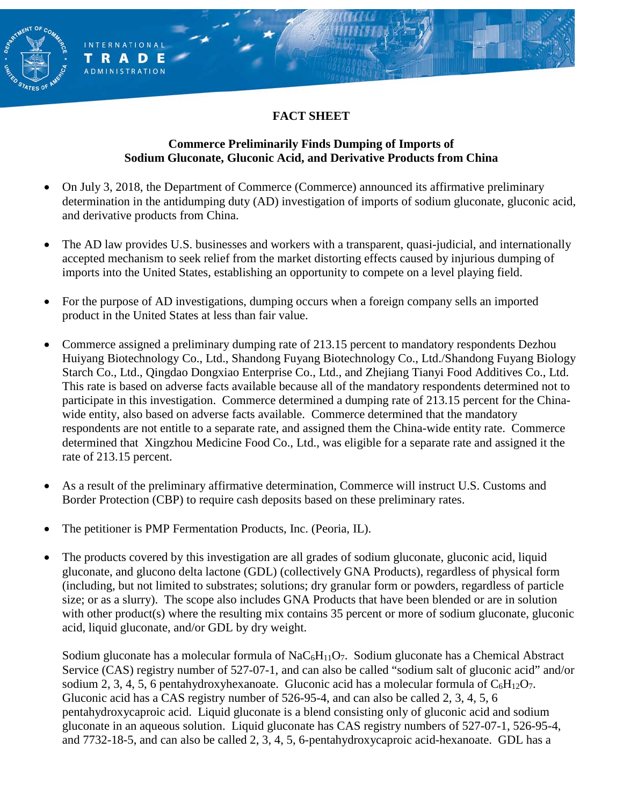## **FACT SHEET**

#### **Commerce Preliminarily Finds Dumping of Imports of Sodium Gluconate, Gluconic Acid, and Derivative Products from China**

- On July 3, 2018, the Department of Commerce (Commerce) announced its affirmative preliminary determination in the antidumping duty (AD) investigation of imports of sodium gluconate, gluconic acid, and derivative products from China.
- The AD law provides U.S. businesses and workers with a transparent, quasi-judicial, and internationally accepted mechanism to seek relief from the market distorting effects caused by injurious dumping of imports into the United States, establishing an opportunity to compete on a level playing field.
- For the purpose of AD investigations, dumping occurs when a foreign company sells an imported product in the United States at less than fair value.
- Commerce assigned a preliminary dumping rate of 213.15 percent to mandatory respondents Dezhou Huiyang Biotechnology Co., Ltd., Shandong Fuyang Biotechnology Co., Ltd./Shandong Fuyang Biology Starch Co., Ltd., Qingdao Dongxiao Enterprise Co., Ltd., and Zhejiang Tianyi Food Additives Co., Ltd. This rate is based on adverse facts available because all of the mandatory respondents determined not to participate in this investigation. Commerce determined a dumping rate of 213.15 percent for the Chinawide entity, also based on adverse facts available. Commerce determined that the mandatory respondents are not entitle to a separate rate, and assigned them the China-wide entity rate. Commerce determined that Xingzhou Medicine Food Co., Ltd., was eligible for a separate rate and assigned it the rate of 213.15 percent.
- As a result of the preliminary affirmative determination, Commerce will instruct U.S. Customs and Border Protection (CBP) to require cash deposits based on these preliminary rates.
- The petitioner is PMP Fermentation Products, Inc. (Peoria, IL).

**INTERNATIONAL** TRADE **ADMINISTRATION** 

• The products covered by this investigation are all grades of sodium gluconate, gluconic acid, liquid gluconate, and glucono delta lactone (GDL) (collectively GNA Products), regardless of physical form (including, but not limited to substrates; solutions; dry granular form or powders, regardless of particle size; or as a slurry). The scope also includes GNA Products that have been blended or are in solution with other product(s) where the resulting mix contains 35 percent or more of sodium gluconate, gluconic acid, liquid gluconate, and/or GDL by dry weight.

Sodium gluconate has a molecular formula of  $NaC<sub>6</sub>H<sub>11</sub>O<sub>7</sub>$ . Sodium gluconate has a Chemical Abstract Service (CAS) registry number of 527-07-1, and can also be called "sodium salt of gluconic acid" and/or sodium 2, 3, 4, 5, 6 pentahydroxyhexanoate. Gluconic acid has a molecular formula of  $C_6H_{12}O_7$ . Gluconic acid has a CAS registry number of 526-95-4, and can also be called 2, 3, 4, 5, 6 pentahydroxycaproic acid. Liquid gluconate is a blend consisting only of gluconic acid and sodium gluconate in an aqueous solution. Liquid gluconate has CAS registry numbers of 527-07-1, 526-95-4, and 7732-18-5, and can also be called 2, 3, 4, 5, 6-pentahydroxycaproic acid-hexanoate. GDL has a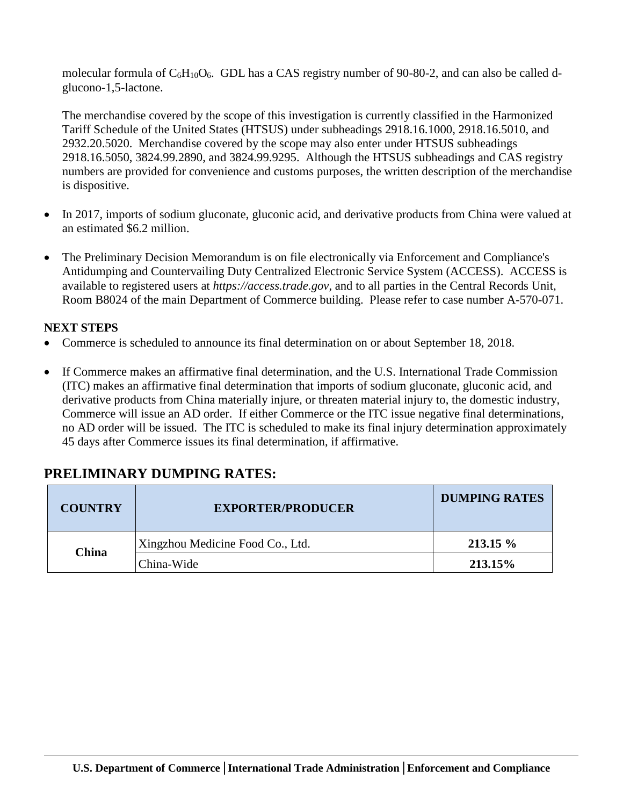molecular formula of  $C_6H_{10}O_6$ . GDL has a CAS registry number of 90-80-2, and can also be called dglucono-1,5-lactone.

The merchandise covered by the scope of this investigation is currently classified in the Harmonized Tariff Schedule of the United States (HTSUS) under subheadings 2918.16.1000, 2918.16.5010, and 2932.20.5020. Merchandise covered by the scope may also enter under HTSUS subheadings 2918.16.5050, 3824.99.2890, and 3824.99.9295. Although the HTSUS subheadings and CAS registry numbers are provided for convenience and customs purposes, the written description of the merchandise is dispositive.

- In 2017, imports of sodium gluconate, gluconic acid, and derivative products from China were valued at an estimated \$6.2 million.
- The Preliminary Decision Memorandum is on file electronically via Enforcement and Compliance's Antidumping and Countervailing Duty Centralized Electronic Service System (ACCESS). ACCESS is available to registered users at *https://access.trade.gov*, and to all parties in the Central Records Unit, Room B8024 of the main Department of Commerce building. Please refer to case number A-570-071.

### **NEXT STEPS**

- Commerce is scheduled to announce its final determination on or about September 18, 2018.
- If Commerce makes an affirmative final determination, and the U.S. International Trade Commission (ITC) makes an affirmative final determination that imports of sodium gluconate, gluconic acid, and derivative products from China materially injure, or threaten material injury to, the domestic industry, Commerce will issue an AD order. If either Commerce or the ITC issue negative final determinations, no AD order will be issued. The ITC is scheduled to make its final injury determination approximately 45 days after Commerce issues its final determination, if affirmative.

# **PRELIMINARY DUMPING RATES:**

| <b>COUNTRY</b> | <b>EXPORTER/PRODUCER</b>         | <b>DUMPING RATES</b> |
|----------------|----------------------------------|----------------------|
| <b>China</b>   | Xingzhou Medicine Food Co., Ltd. | $213.15\%$           |
|                | China-Wide                       | 213.15%              |